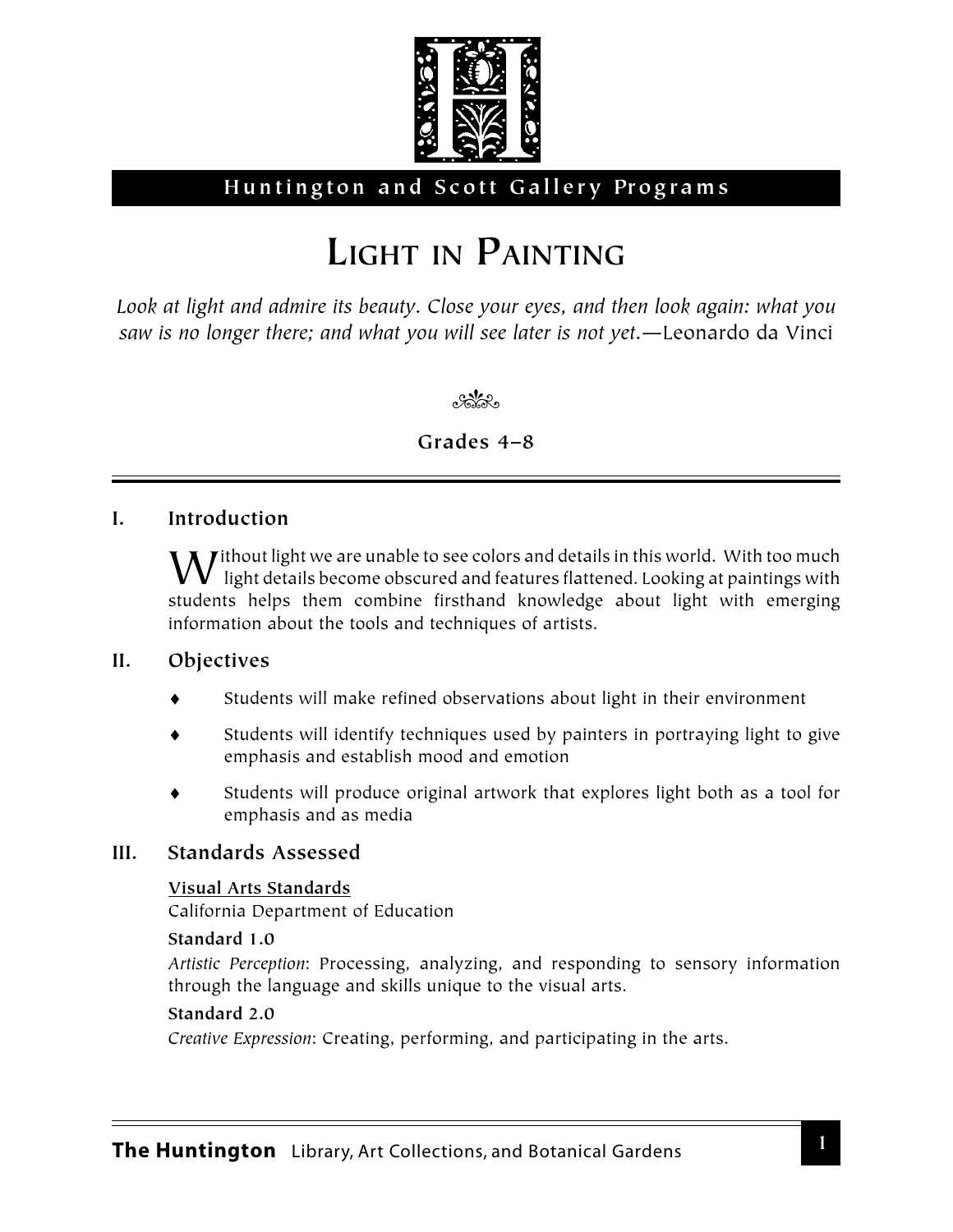

# **Huntington and Scott Gallery Programs**

# **LIGHT IN PAINTING**

*Look at light and admire its beauty. Close your eyes, and then look again: what you saw is no longer there; and what you will see later is not yet.*—Leonardo da Vinci

**Color** 

# **Grades 4–8**

# **I. Introduction**

 $\blacksquare$  *J* ithout light we are unable to see colors and details in this world. With too much  $\bm{V}\;$  light details become obscured and features flattened. Looking at paintings with students helps them combine firsthand knowledge about light with emerging information about the tools and techniques of artists.

# **II. Objectives**

- Students will make refined observations about light in their environment
- Students will identify techniques used by painters in portraying light to give emphasis and establish mood and emotion
- Students will produce original artwork that explores light both as a tool for emphasis and as media

# **III. Standards Assessed**

### **Visual Arts Standards**

California Department of Education

#### **Standard 1.0**

*Artistic Perception*: Processing, analyzing, and responding to sensory information through the language and skills unique to the visual arts.

### **Standard 2.0**

*Creative Expression*: Creating, performing, and participating in the arts.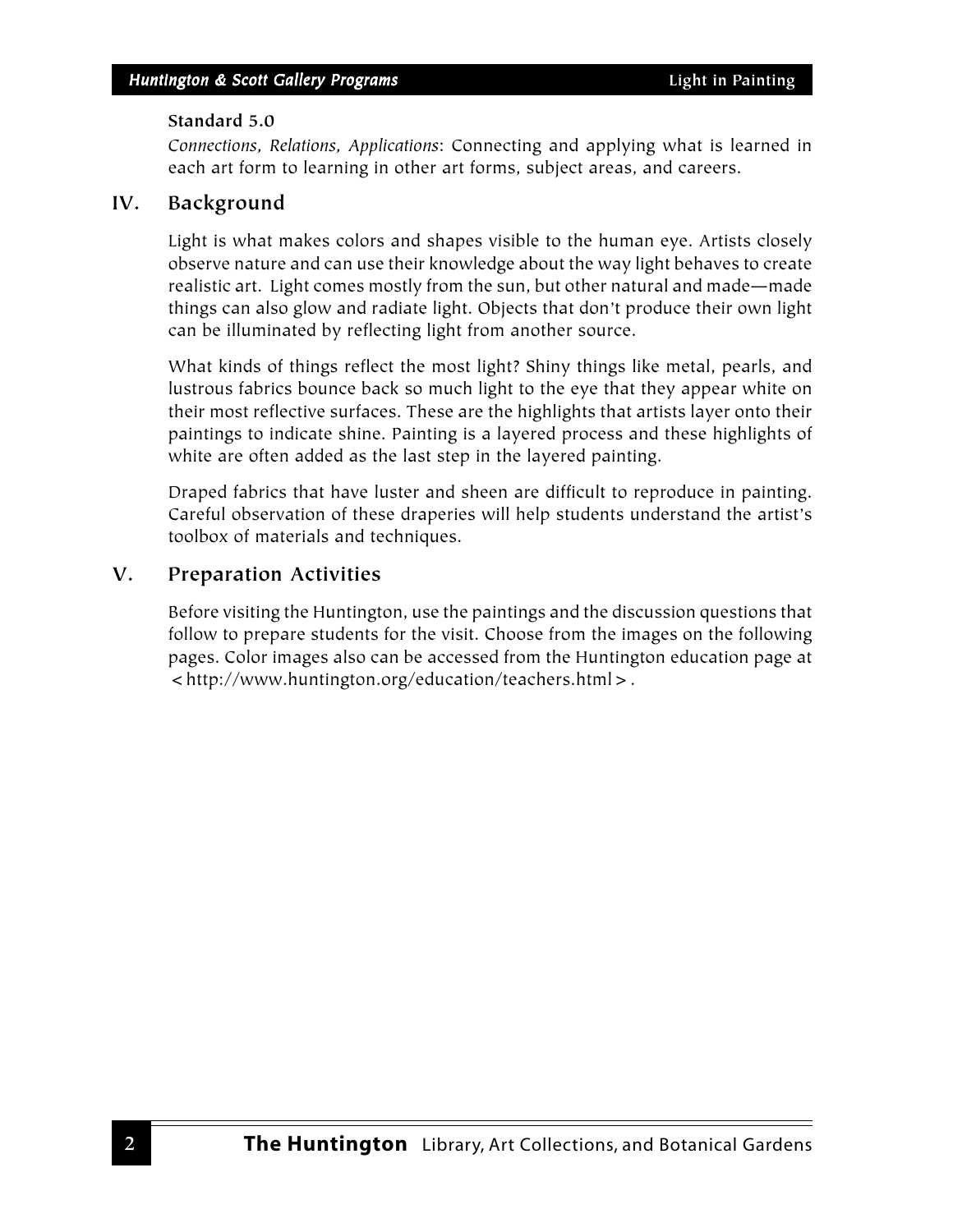#### **Standard 5.0**

*Connections, Relations, Applications*: Connecting and applying what is learned in each art form to learning in other art forms, subject areas, and careers.

#### **IV. Background**

Light is what makes colors and shapes visible to the human eye. Artists closely observe nature and can use their knowledge about the way light behaves to create realistic art. Light comes mostly from the sun, but other natural and made—made things can also glow and radiate light. Objects that don't produce their own light can be illuminated by reflecting light from another source.

What kinds of things reflect the most light? Shiny things like metal, pearls, and lustrous fabrics bounce back so much light to the eye that they appear white on their most reflective surfaces. These are the highlights that artists layer onto their paintings to indicate shine. Painting is a layered process and these highlights of white are often added as the last step in the layered painting.

Draped fabrics that have luster and sheen are difficult to reproduce in painting. Careful observation of these draperies will help students understand the artist's toolbox of materials and techniques.

# **V. Preparation Activities**

Before visiting the Huntington, use the paintings and the discussion questions that follow to prepare students for the visit. Choose from the images on the following pages. Color images also can be accessed from the Huntington education page at <http://www.huntington.org/education/teachers.html>.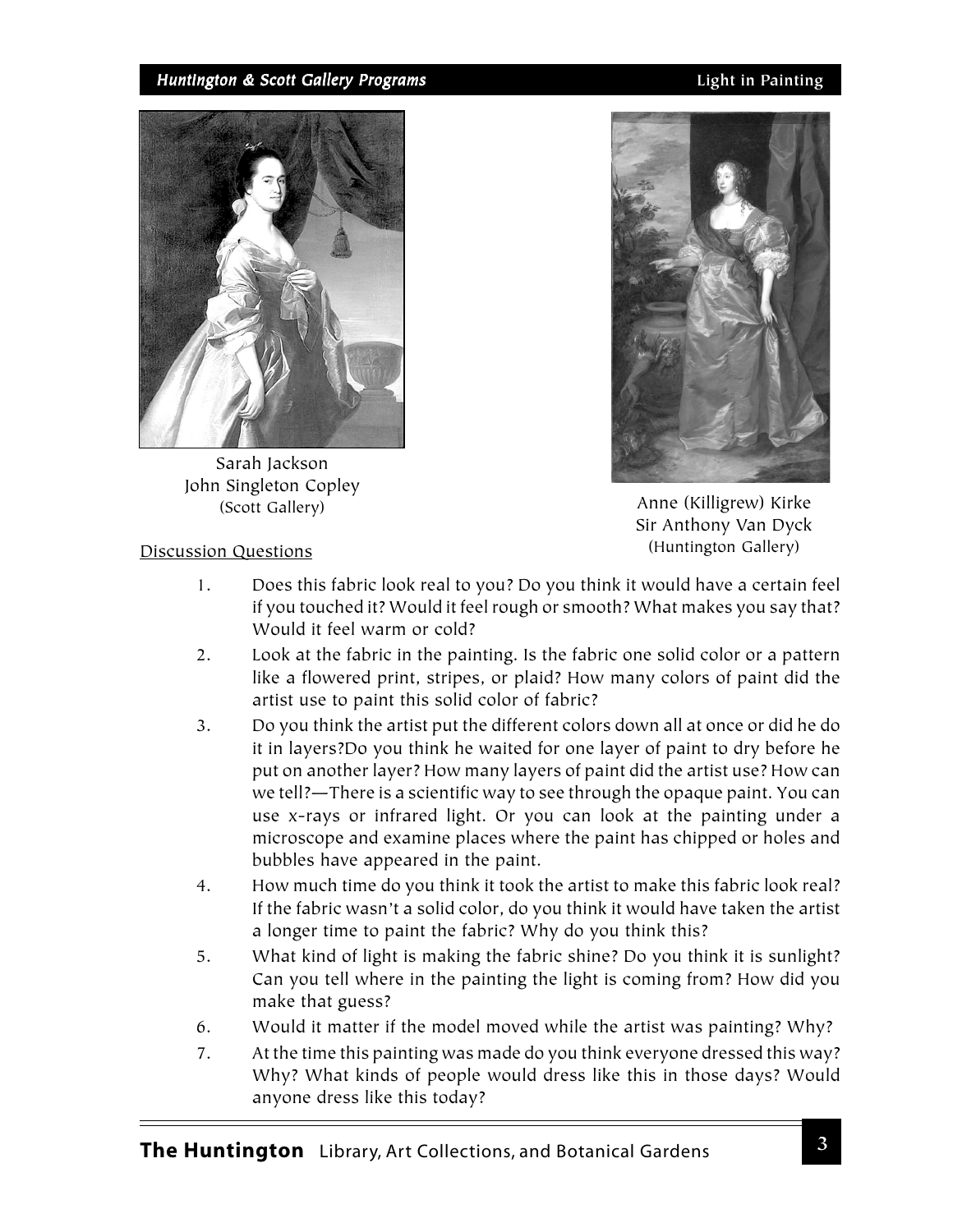#### *Huntington & Scott Gallery Programs* **Light in Painting**



Sarah Jackson John Singleton Copley



(Scott Gallery) (Scott Gallery) (Scott Gallery) (Scott Gallery) (Scott Gallery) (Scott Gallery) (Scott Gallery) (Scott Gallery) (Scott Gallery) (Scott Gallery) (Scott Gallery) (Scott Gallery) (Scott Gallery) (Scott Gallery Sir Anthony Van Dyck (Huntington Gallery)

#### Discussion Questions

- 1. Does this fabric look real to you? Do you think it would have a certain feel if you touched it? Would it feel rough or smooth? What makes you say that? Would it feel warm or cold?
- 2. Look at the fabric in the painting. Is the fabric one solid color or a pattern like a flowered print, stripes, or plaid? How many colors of paint did the artist use to paint this solid color of fabric?
- 3. Do you think the artist put the different colors down all at once or did he do it in layers?Do you think he waited for one layer of paint to dry before he put on another layer? How many layers of paint did the artist use? How can we tell?—There is a scientific way to see through the opaque paint. You can use x-rays or infrared light. Or you can look at the painting under a microscope and examine places where the paint has chipped or holes and bubbles have appeared in the paint.
- 4. How much time do you think it took the artist to make this fabric look real? If the fabric wasn't a solid color, do you think it would have taken the artist a longer time to paint the fabric? Why do you think this?
- 5. What kind of light is making the fabric shine? Do you think it is sunlight? Can you tell where in the painting the light is coming from? How did you make that guess?
- 6. Would it matter if the model moved while the artist was painting? Why?
- 7. At the time this painting was made do you think everyone dressed this way? Why? What kinds of people would dress like this in those days? Would anyone dress like this today?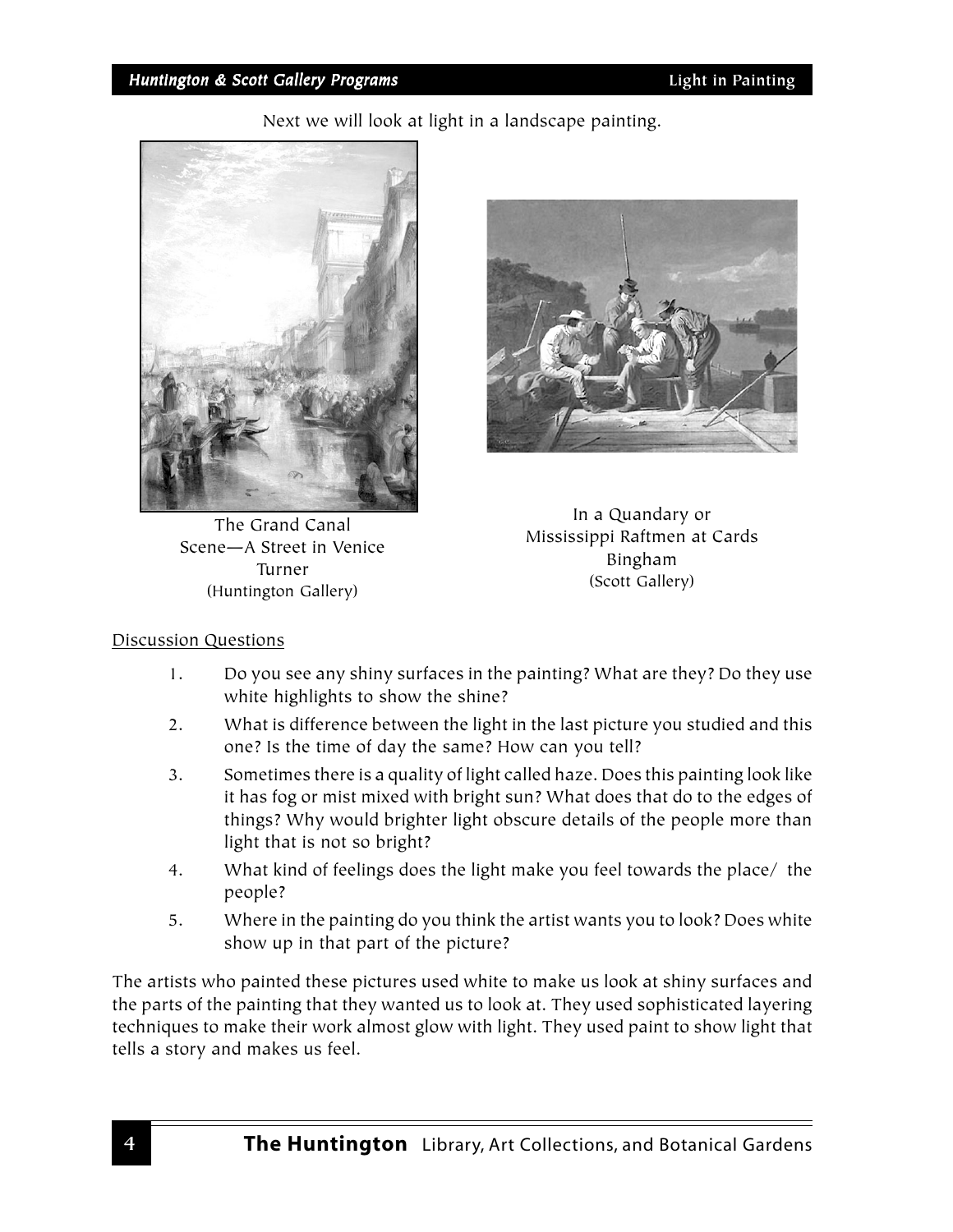Next we will look at light in a landscape painting.



The Grand Canal Scene—A Street in Venice Turner (Huntington Gallery)



In a Quandary or Mississippi Raftmen at Cards Bingham (Scott Gallery)

### Discussion Questions

- 1. Do you see any shiny surfaces in the painting? What are they? Do they use white highlights to show the shine?
- 2. What is difference between the light in the last picture you studied and this one? Is the time of day the same? How can you tell?
- 3. Sometimes there is a quality of light called haze. Does this painting look like it has fog or mist mixed with bright sun? What does that do to the edges of things? Why would brighter light obscure details of the people more than light that is not so bright?
- 4. What kind of feelings does the light make you feel towards the place/ the people?
- 5. Where in the painting do you think the artist wants you to look? Does white show up in that part of the picture?

The artists who painted these pictures used white to make us look at shiny surfaces and the parts of the painting that they wanted us to look at. They used sophisticated layering techniques to make their work almost glow with light. They used paint to show light that tells a story and makes us feel.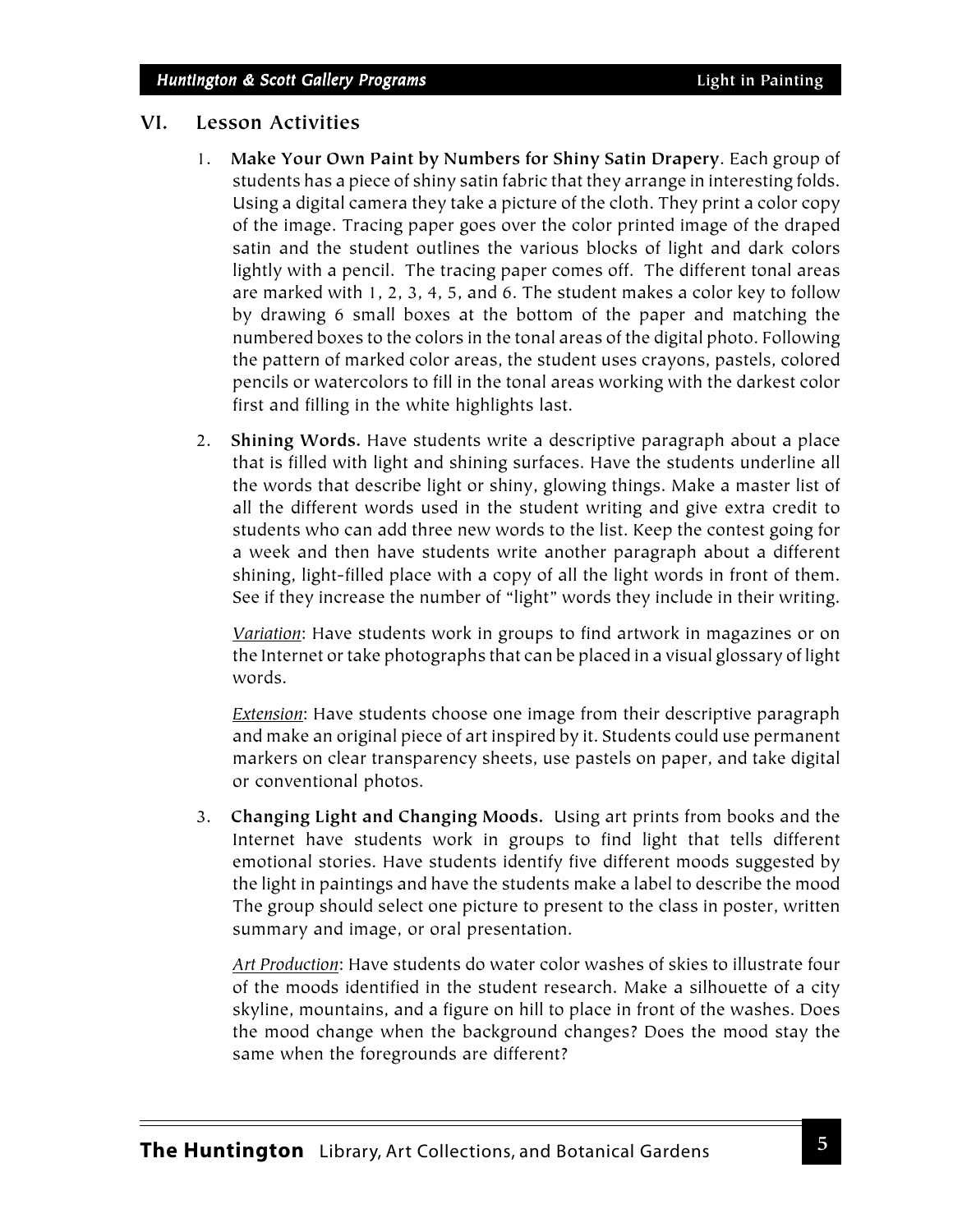#### **VI. Lesson Activities**

- 1. **Make Your Own Paint by Numbers for Shiny Satin Drapery**. Each group of students has a piece of shiny satin fabric that they arrange in interesting folds. Using a digital camera they take a picture of the cloth. They print a color copy of the image. Tracing paper goes over the color printed image of the draped satin and the student outlines the various blocks of light and dark colors lightly with a pencil. The tracing paper comes off. The different tonal areas are marked with 1, 2, 3, 4, 5, and 6. The student makes a color key to follow by drawing 6 small boxes at the bottom of the paper and matching the numbered boxes to the colors in the tonal areas of the digital photo. Following the pattern of marked color areas, the student uses crayons, pastels, colored pencils or watercolors to fill in the tonal areas working with the darkest color first and filling in the white highlights last.
- 2. **Shining Words.** Have students write a descriptive paragraph about a place that is filled with light and shining surfaces. Have the students underline all the words that describe light or shiny, glowing things. Make a master list of all the different words used in the student writing and give extra credit to students who can add three new words to the list. Keep the contest going for a week and then have students write another paragraph about a different shining, light-filled place with a copy of all the light words in front of them. See if they increase the number of "light" words they include in their writing.

*Variation*: Have students work in groups to find artwork in magazines or on the Internet or take photographs that can be placed in a visual glossary of light words.

*Extension*: Have students choose one image from their descriptive paragraph and make an original piece of art inspired by it. Students could use permanent markers on clear transparency sheets, use pastels on paper, and take digital or conventional photos.

3. **Changing Light and Changing Moods.** Using art prints from books and the Internet have students work in groups to find light that tells different emotional stories. Have students identify five different moods suggested by the light in paintings and have the students make a label to describe the mood The group should select one picture to present to the class in poster, written summary and image, or oral presentation.

*Art Production*: Have students do water color washes of skies to illustrate four of the moods identified in the student research. Make a silhouette of a city skyline, mountains, and a figure on hill to place in front of the washes. Does the mood change when the background changes? Does the mood stay the same when the foregrounds are different?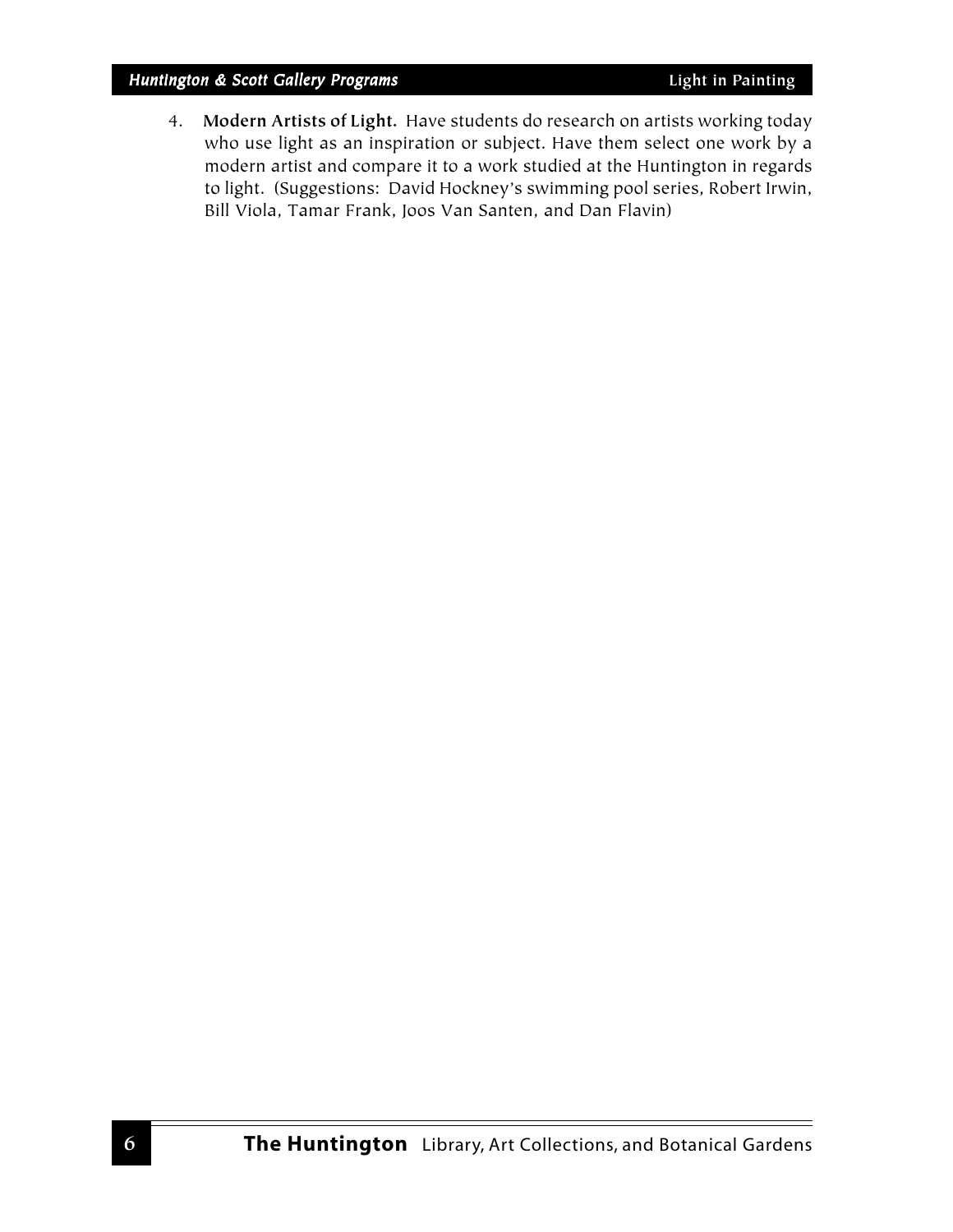#### *Huntington & Scott Gallery Programs* **Light in Painting**

4. **Modern Artists of Light.** Have students do research on artists working today who use light as an inspiration or subject. Have them select one work by a modern artist and compare it to a work studied at the Huntington in regards to light. (Suggestions: David Hockney's swimming pool series, Robert Irwin, Bill Viola, Tamar Frank, Joos Van Santen, and Dan Flavin)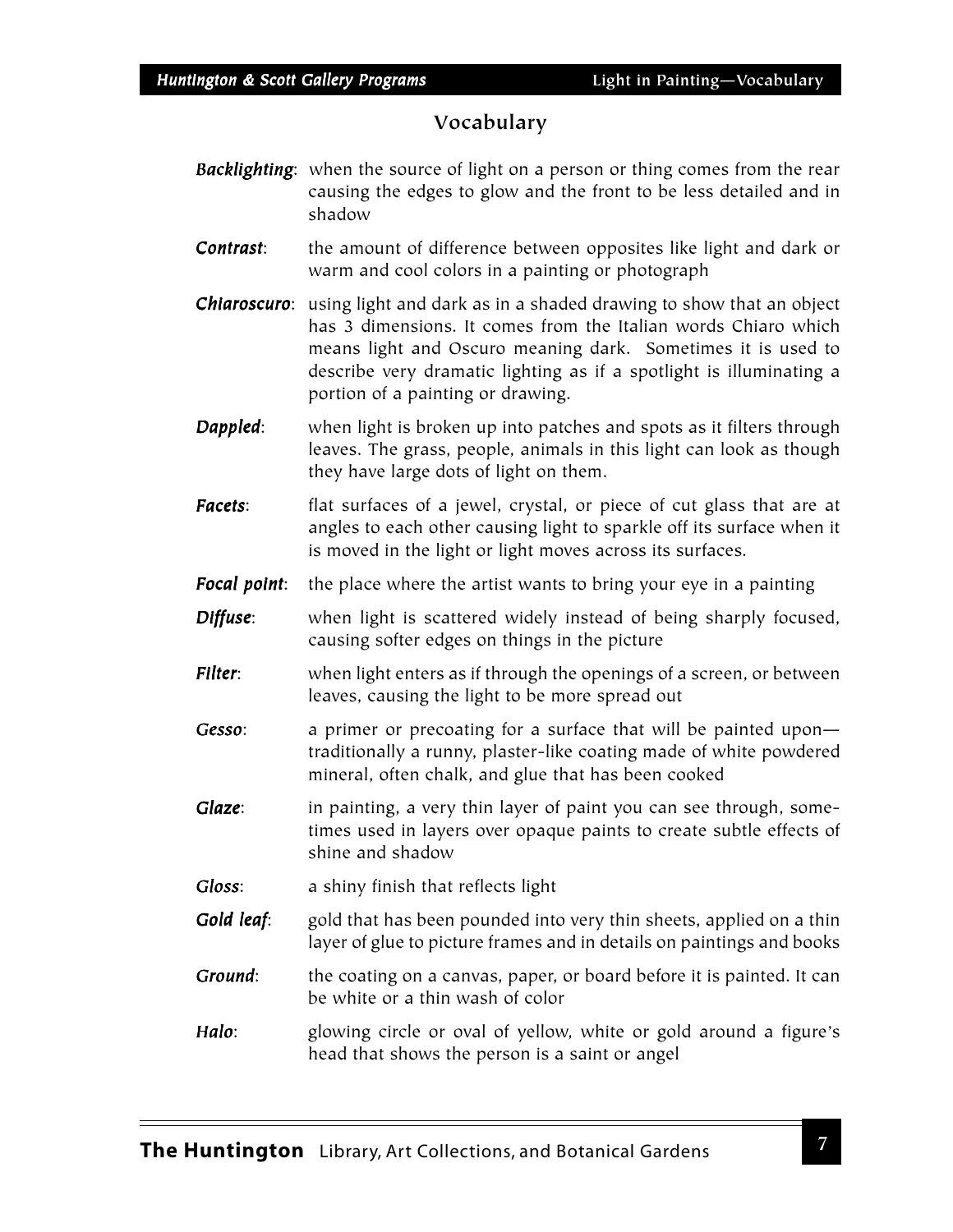# **Vocabulary**

- *Backlighting*: when the source of light on a person or thing comes from the rear causing the edges to glow and the front to be less detailed and in shadow
- **Contrast:** the amount of difference between opposites like light and dark or warm and cool colors in a painting or photograph
- *Chiaroscuro*: using light and dark as in a shaded drawing to show that an object has 3 dimensions. It comes from the Italian words Chiaro which means light and Oscuro meaning dark. Sometimes it is used to describe very dramatic lighting as if a spotlight is illuminating a portion of a painting or drawing.
- **Dappled:** when light is broken up into patches and spots as it filters through leaves. The grass, people, animals in this light can look as though they have large dots of light on them.
- *Facets*: flat surfaces of a jewel, crystal, or piece of cut glass that are at angles to each other causing light to sparkle off its surface when it is moved in the light or light moves across its surfaces.
- **Focal point:** the place where the artist wants to bring your eye in a painting
- **Diffuse:** when light is scattered widely instead of being sharply focused, causing softer edges on things in the picture
- *Filter*: when light enters as if through the openings of a screen, or between leaves, causing the light to be more spread out
- *Gesso*: a primer or precoating for a surface that will be painted upon traditionally a runny, plaster-like coating made of white powdered mineral, often chalk, and glue that has been cooked
- *Glaze*: in painting, a very thin layer of paint you can see through, sometimes used in layers over opaque paints to create subtle effects of shine and shadow
- *Gloss*: a shiny finish that reflects light
- *Gold leaf*: gold that has been pounded into very thin sheets, applied on a thin layer of glue to picture frames and in details on paintings and books
- *Ground*: the coating on a canvas, paper, or board before it is painted. It can be white or a thin wash of color
- *Halo*: glowing circle or oval of yellow, white or gold around a figure's head that shows the person is a saint or angel